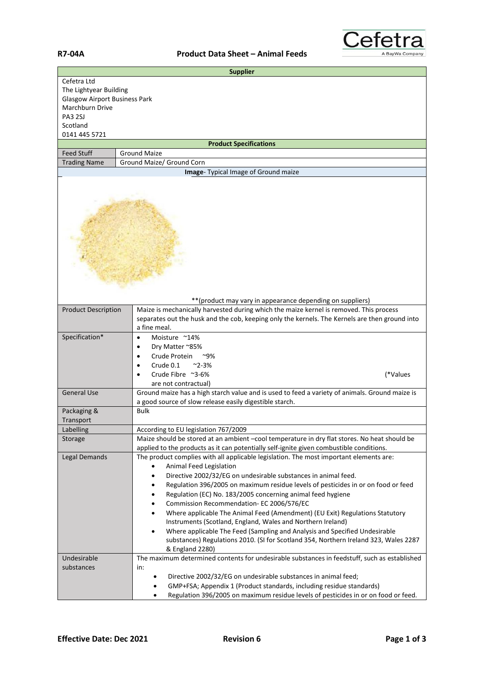## **R7-04A Product Data Sheet – Animal Feeds**



|                                                         | <b>Supplier</b>                                                                                                                                                                                          |  |
|---------------------------------------------------------|----------------------------------------------------------------------------------------------------------------------------------------------------------------------------------------------------------|--|
| Cefetra Ltd                                             |                                                                                                                                                                                                          |  |
| The Lightyear Building                                  |                                                                                                                                                                                                          |  |
| <b>Glasgow Airport Business Park</b><br>Marchburn Drive |                                                                                                                                                                                                          |  |
| <b>PA3 2SJ</b>                                          |                                                                                                                                                                                                          |  |
| Scotland                                                |                                                                                                                                                                                                          |  |
| 0141 445 5721                                           |                                                                                                                                                                                                          |  |
|                                                         | <b>Product Specifications</b>                                                                                                                                                                            |  |
| <b>Feed Stuff</b>                                       | <b>Ground Maize</b>                                                                                                                                                                                      |  |
| <b>Trading Name</b>                                     | Ground Maize/ Ground Corn                                                                                                                                                                                |  |
| Image- Typical Image of Ground maize                    |                                                                                                                                                                                                          |  |
|                                                         |                                                                                                                                                                                                          |  |
|                                                         | ** (product may vary in appearance depending on suppliers)                                                                                                                                               |  |
| <b>Product Description</b>                              | Maize is mechanically harvested during which the maize kernel is removed. This process<br>separates out the husk and the cob, keeping only the kernels. The Kernels are then ground into<br>a fine meal. |  |
| Specification*                                          | Moisture ~14%<br>$\bullet$                                                                                                                                                                               |  |
|                                                         | Dry Matter ~85%<br>$\bullet$                                                                                                                                                                             |  |
|                                                         | Crude Protein<br>$^{\sim}9\%$                                                                                                                                                                            |  |
|                                                         | Crude 0.1<br>$^{\sim}$ 2-3%                                                                                                                                                                              |  |
|                                                         | Crude Fibre ~3-6%<br>(*Values                                                                                                                                                                            |  |
|                                                         | are not contractual)                                                                                                                                                                                     |  |
| <b>General Use</b>                                      | Ground maize has a high starch value and is used to feed a variety of animals. Ground maize is                                                                                                           |  |
|                                                         | a good source of slow release easily digestible starch.                                                                                                                                                  |  |
| Packaging &                                             | <b>Bulk</b>                                                                                                                                                                                              |  |
| Transport                                               |                                                                                                                                                                                                          |  |
| Labelling                                               | According to EU legislation 767/2009                                                                                                                                                                     |  |
| Storage                                                 | Maize should be stored at an ambient -cool temperature in dry flat stores. No heat should be<br>applied to the products as it can potentially self-ignite given combustible conditions.                  |  |
| Legal Demands                                           | The product complies with all applicable legislation. The most important elements are:                                                                                                                   |  |
|                                                         | Animal Feed Legislation                                                                                                                                                                                  |  |
|                                                         | Directive 2002/32/EG on undesirable substances in animal feed.<br>$\bullet$                                                                                                                              |  |
|                                                         | Regulation 396/2005 on maximum residue levels of pesticides in or on food or feed<br>٠                                                                                                                   |  |
|                                                         | Regulation (EC) No. 183/2005 concerning animal feed hygiene<br>$\bullet$                                                                                                                                 |  |
|                                                         | Commission Recommendation- EC 2006/576/EC<br>٠                                                                                                                                                           |  |
|                                                         | Where applicable The Animal Feed (Amendment) (EU Exit) Regulations Statutory<br>$\bullet$                                                                                                                |  |
|                                                         | Instruments (Scotland, England, Wales and Northern Ireland)                                                                                                                                              |  |
|                                                         | Where applicable The Feed (Sampling and Analysis and Specified Undesirable<br>$\bullet$                                                                                                                  |  |
|                                                         | substances) Regulations 2010. (SI for Scotland 354, Northern Ireland 323, Wales 2287                                                                                                                     |  |
|                                                         | & England 2280)                                                                                                                                                                                          |  |
| Undesirable                                             | The maximum determined contents for undesirable substances in feedstuff, such as established                                                                                                             |  |
| substances                                              | in:                                                                                                                                                                                                      |  |
|                                                         | Directive 2002/32/EG on undesirable substances in animal feed;                                                                                                                                           |  |
|                                                         | GMP+FSA; Appendix 1 (Product standards, including residue standards)<br>Regulation 396/2005 on maximum residue levels of pesticides in or on food or feed.                                               |  |
|                                                         |                                                                                                                                                                                                          |  |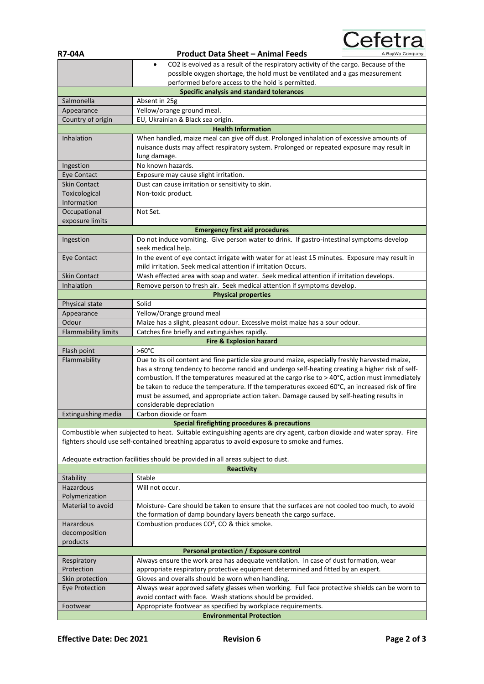| <b>R7-04A</b>                   | <b>Product Data Sheet - Animal Feeds</b><br>A BayWa Company                                                           |  |
|---------------------------------|-----------------------------------------------------------------------------------------------------------------------|--|
|                                 | CO2 is evolved as a result of the respiratory activity of the cargo. Because of the<br>$\bullet$                      |  |
|                                 | possible oxygen shortage, the hold must be ventilated and a gas measurement                                           |  |
|                                 | performed before access to the hold is permitted.                                                                     |  |
|                                 | <b>Specific analysis and standard tolerances</b>                                                                      |  |
| Salmonella                      | Absent in 25g                                                                                                         |  |
| Appearance                      | Yellow/orange ground meal.                                                                                            |  |
| Country of origin               | EU, Ukrainian & Black sea origin.                                                                                     |  |
| <b>Health Information</b>       |                                                                                                                       |  |
| Inhalation                      | When handled, maize meal can give off dust. Prolonged inhalation of excessive amounts of                              |  |
|                                 | nuisance dusts may affect respiratory system. Prolonged or repeated exposure may result in                            |  |
|                                 | lung damage.                                                                                                          |  |
| Ingestion                       | No known hazards.                                                                                                     |  |
| Eye Contact                     | Exposure may cause slight irritation.                                                                                 |  |
| <b>Skin Contact</b>             | Dust can cause irritation or sensitivity to skin.                                                                     |  |
| Toxicological                   | Non-toxic product.                                                                                                    |  |
| Information                     |                                                                                                                       |  |
| Occupational                    | Not Set.                                                                                                              |  |
| exposure limits                 |                                                                                                                       |  |
|                                 | <b>Emergency first aid procedures</b>                                                                                 |  |
| Ingestion                       | Do not induce vomiting. Give person water to drink. If gastro-intestinal symptoms develop                             |  |
|                                 | seek medical help.                                                                                                    |  |
| Eye Contact                     | In the event of eye contact irrigate with water for at least 15 minutes. Exposure may result in                       |  |
|                                 | mild irritation. Seek medical attention if irritation Occurs.                                                         |  |
| <b>Skin Contact</b>             | Wash effected area with soap and water. Seek medical attention if irritation develops.                                |  |
| Inhalation                      | Remove person to fresh air. Seek medical attention if symptoms develop.                                               |  |
|                                 | <b>Physical properties</b>                                                                                            |  |
| Physical state                  | Solid                                                                                                                 |  |
| Appearance                      | Yellow/Orange ground meal                                                                                             |  |
| Odour                           | Maize has a slight, pleasant odour. Excessive moist maize has a sour odour.                                           |  |
| <b>Flammability limits</b>      | Catches fire briefly and extinguishes rapidly.                                                                        |  |
|                                 | <b>Fire &amp; Explosion hazard</b>                                                                                    |  |
| Flash point                     | $>60^{\circ}$ C                                                                                                       |  |
| Flammability                    | Due to its oil content and fine particle size ground maize, especially freshly harvested maize,                       |  |
|                                 | has a strong tendency to become rancid and undergo self-heating creating a higher risk of self-                       |  |
|                                 | combustion. If the temperatures measured at the cargo rise to > 40°C, action must immediately                         |  |
|                                 | be taken to reduce the temperature. If the temperatures exceed 60°C, an increased risk of fire                        |  |
|                                 | must be assumed, and appropriate action taken. Damage caused by self-heating results in                               |  |
|                                 | considerable depreciation                                                                                             |  |
| Extinguishing media             | Carbon dioxide or foam                                                                                                |  |
|                                 | Special firefighting procedures & precautions                                                                         |  |
|                                 | Combustible when subjected to heat. Suitable extinguishing agents are dry agent, carbon dioxide and water spray. Fire |  |
|                                 | fighters should use self-contained breathing apparatus to avoid exposure to smoke and fumes.                          |  |
|                                 |                                                                                                                       |  |
|                                 | Adequate extraction facilities should be provided in all areas subject to dust.                                       |  |
|                                 | <b>Reactivity</b>                                                                                                     |  |
| Stability                       | Stable                                                                                                                |  |
| Hazardous                       | Will not occur.                                                                                                       |  |
| Polymerization                  |                                                                                                                       |  |
| Material to avoid               | Moisture- Care should be taken to ensure that the surfaces are not cooled too much, to avoid                          |  |
|                                 | the formation of damp boundary layers beneath the cargo surface.                                                      |  |
| Hazardous                       | Combustion produces CO <sup>2</sup> , CO & thick smoke.                                                               |  |
| decomposition                   |                                                                                                                       |  |
| products                        |                                                                                                                       |  |
|                                 | Personal protection / Exposure control                                                                                |  |
| Respiratory                     | Always ensure the work area has adequate ventilation. In case of dust formation, wear                                 |  |
| Protection                      | appropriate respiratory protective equipment determined and fitted by an expert.                                      |  |
| Skin protection                 | Gloves and overalls should be worn when handling.                                                                     |  |
| <b>Eye Protection</b>           | Always wear approved safety glasses when working. Full face protective shields can be worn to                         |  |
|                                 | avoid contact with face. Wash stations should be provided.                                                            |  |
| Footwear                        | Appropriate footwear as specified by workplace requirements.                                                          |  |
| <b>Environmental Protection</b> |                                                                                                                       |  |

Cefetra